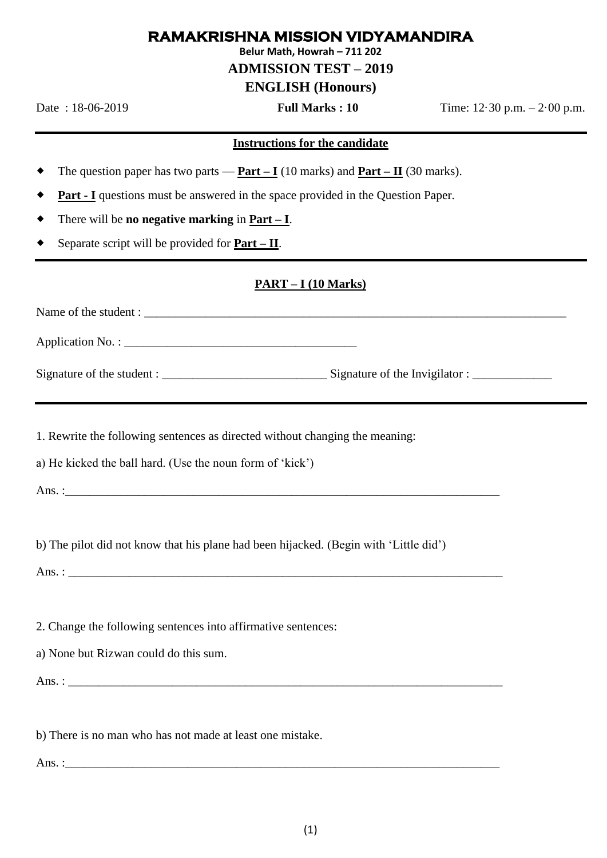## **RAMAKRISHNA MISSION VIDYAMANDIRA**

**Belur Math, Howrah – 711 202**

## **ADMISSION TEST – 2019**

# **ENGLISH (Honours)**

Date : 18-06-2019 **Full Marks : 10** Time: 12·30 p.m. – 2·00 p.m.

#### **Instructions for the candidate**

- The question paper has two parts **Part – I** (10 marks) and **Part – II** (30 marks).
- **Part - I** questions must be answered in the space provided in the Question Paper.
- There will be **no negative marking** in **Part – I**.
- Separate script will be provided for **Part – II**.

### **PART – I (10 Marks)**

Name of the student : \_\_\_\_\_\_\_\_\_\_\_\_\_\_\_\_\_\_\_\_\_\_\_\_\_\_\_\_\_\_\_\_\_\_\_\_\_\_\_\_\_\_\_\_\_\_\_\_\_\_\_\_\_\_\_\_\_\_\_\_\_\_\_\_\_\_\_\_\_

Application No. :

Signature of the student : \_\_\_\_\_\_\_\_\_\_\_\_\_\_\_\_\_\_\_\_\_\_\_\_\_\_\_ Signature of the Invigilator : \_\_\_\_\_\_\_\_\_\_\_\_\_

1. Rewrite the following sentences as directed without changing the meaning:

a) He kicked the ball hard. (Use the noun form of 'kick')

Ans.  $\colon$ 

b) The pilot did not know that his plane had been hijacked. (Begin with 'Little did')

Ans. :

2. Change the following sentences into affirmative sentences:

a) None but Rizwan could do this sum.

Ans.  $\colon$ 

b) There is no man who has not made at least one mistake.

Ans. :